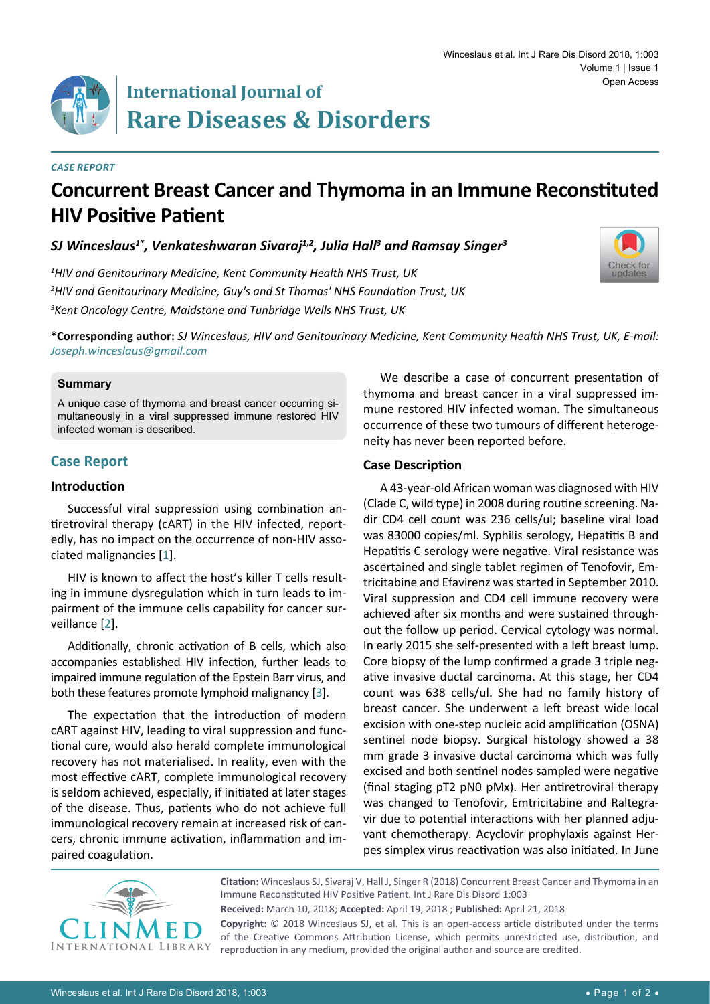

# **International Journal of Rare Diseases & Disorders**

#### *Case Report*

# **Concurrent Breast Cancer and Thymoma in an Immune Reconstituted HIV Positive Patient**

*SJ Winceslaus1\*, Venkateshwaran Sivaraj1,2, Julia Hall3 and Ramsay Singer3*

*1 HIV and Genitourinary Medicine, Kent Community Health NHS Trust, UK 2 HIV and Genitourinary Medicine, Guy's and St Thomas' NHS Foundation Trust, UK 3 Kent Oncology Centre, Maidstone and Tunbridge Wells NHS Trust, UK*



**\*Corresponding author:** *SJ Winceslaus, HIV and Genitourinary Medicine, Kent Community Health NHS Trust, UK, E-mail: Joseph.winceslaus@gmail.com*

#### **Summary**

A unique case of thymoma and breast cancer occurring simultaneously in a viral suppressed immune restored HIV infected woman is described.

# **Case Report**

#### **Introduction**

Successful viral suppression using combination antiretroviral therapy (cART) in the HIV infected, reportedly, has no impact on the occurrence of non-HIV associated malignancies [\[1](#page-1-0)].

HIV is known to affect the host's killer T cells resulting in immune dysregulation which in turn leads to impairment of the immune cells capability for cancer surveillance [[2](#page-1-1)].

Additionally, chronic activation of B cells, which also accompanies established HIV infection, further leads to impaired immune regulation of the Epstein Barr virus, and both these features promote lymphoid malignancy [[3](#page-1-2)].

The expectation that the introduction of modern cART against HIV, leading to viral suppression and functional cure, would also herald complete immunological recovery has not materialised. In reality, even with the most effective cART, complete immunological recovery is seldom achieved, especially, if initiated at later stages of the disease. Thus, patients who do not achieve full immunological recovery remain at increased risk of cancers, chronic immune activation, inflammation and impaired coagulation.

We describe a case of concurrent presentation of thymoma and breast cancer in a viral suppressed immune restored HIV infected woman. The simultaneous occurrence of these two tumours of different heterogeneity has never been reported before.

### **Case Description**

A 43-year-old African woman was diagnosed with HIV (Clade C, wild type) in 2008 during routine screening. Nadir CD4 cell count was 236 cells/ul; baseline viral load was 83000 copies/ml. Syphilis serology, Hepatitis B and Hepatitis C serology were negative. Viral resistance was ascertained and single tablet regimen of Tenofovir, Emtricitabine and Efavirenz was started in September 2010. Viral suppression and CD4 cell immune recovery were achieved after six months and were sustained throughout the follow up period. Cervical cytology was normal. In early 2015 she self-presented with a left breast lump. Core biopsy of the lump confirmed a grade 3 triple negative invasive ductal carcinoma. At this stage, her CD4 count was 638 cells/ul. She had no family history of breast cancer. She underwent a left breast wide local excision with one-step nucleic acid amplification (OSNA) sentinel node biopsy. Surgical histology showed a 38 mm grade 3 invasive ductal carcinoma which was fully excised and both sentinel nodes sampled were negative (final staging pT2 pN0 pMx). Her antiretroviral therapy was changed to Tenofovir, Emtricitabine and Raltegravir due to potential interactions with her planned adjuvant chemotherapy. Acyclovir prophylaxis against Herpes simplex virus reactivation was also initiated. In June



**Citation:** Winceslaus SJ, Sivaraj V, Hall J, Singer R (2018) Concurrent Breast Cancer and Thymoma in an Immune Reconstituted HIV Positive Patient. Int J Rare Dis Disord 1:003

**Received:** March 10, 2018; **Accepted:** April 19, 2018 ; **Published:** April 21, 2018

**Copyright:** © 2018 Winceslaus SJ, et al. This is an open-access article distributed under the terms of the Creative Commons Attribution License, which permits unrestricted use, distribution, and reproduction in any medium, provided the original author and source are credited.